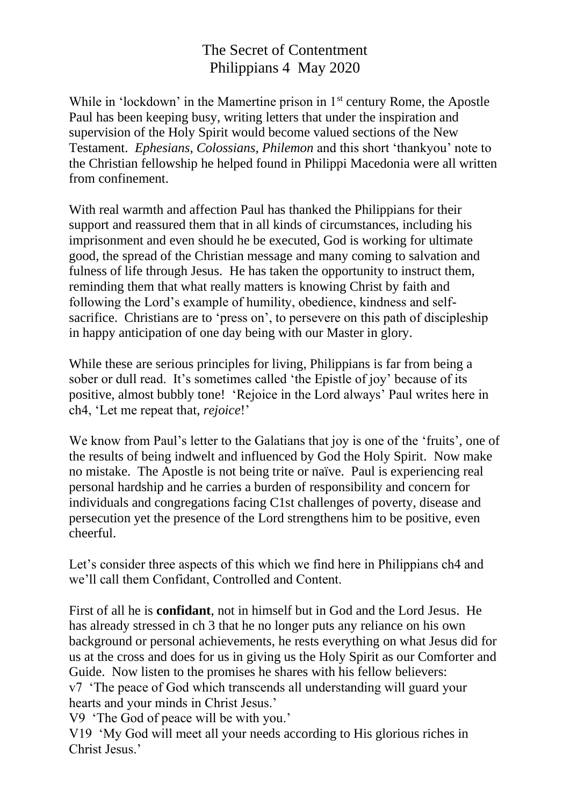## The Secret of Contentment Philippians 4 May 2020

While in 'lockdown' in the Mamertine prison in  $1<sup>st</sup>$  century Rome, the Apostle Paul has been keeping busy, writing letters that under the inspiration and supervision of the Holy Spirit would become valued sections of the New Testament. *Ephesians, Colossians, Philemon* and this short 'thankyou' note to the Christian fellowship he helped found in Philippi Macedonia were all written from confinement.

With real warmth and affection Paul has thanked the Philippians for their support and reassured them that in all kinds of circumstances, including his imprisonment and even should he be executed, God is working for ultimate good, the spread of the Christian message and many coming to salvation and fulness of life through Jesus. He has taken the opportunity to instruct them, reminding them that what really matters is knowing Christ by faith and following the Lord's example of humility, obedience, kindness and selfsacrifice. Christians are to 'press on', to persevere on this path of discipleship in happy anticipation of one day being with our Master in glory.

While these are serious principles for living, Philippians is far from being a sober or dull read. It's sometimes called 'the Epistle of joy' because of its positive, almost bubbly tone! 'Rejoice in the Lord always' Paul writes here in ch4, 'Let me repeat that, *rejoice*!'

We know from Paul's letter to the Galatians that joy is one of the 'fruits', one of the results of being indwelt and influenced by God the Holy Spirit. Now make no mistake. The Apostle is not being trite or naïve. Paul is experiencing real personal hardship and he carries a burden of responsibility and concern for individuals and congregations facing C1st challenges of poverty, disease and persecution yet the presence of the Lord strengthens him to be positive, even cheerful.

Let's consider three aspects of this which we find here in Philippians ch4 and we'll call them Confidant, Controlled and Content.

First of all he is **confidant**, not in himself but in God and the Lord Jesus. He has already stressed in ch 3 that he no longer puts any reliance on his own background or personal achievements, he rests everything on what Jesus did for us at the cross and does for us in giving us the Holy Spirit as our Comforter and Guide. Now listen to the promises he shares with his fellow believers: v7 'The peace of God which transcends all understanding will guard your hearts and your minds in Christ Jesus.'

V9 'The God of peace will be with you.'

V19 'My God will meet all your needs according to His glorious riches in Christ Jesus.'